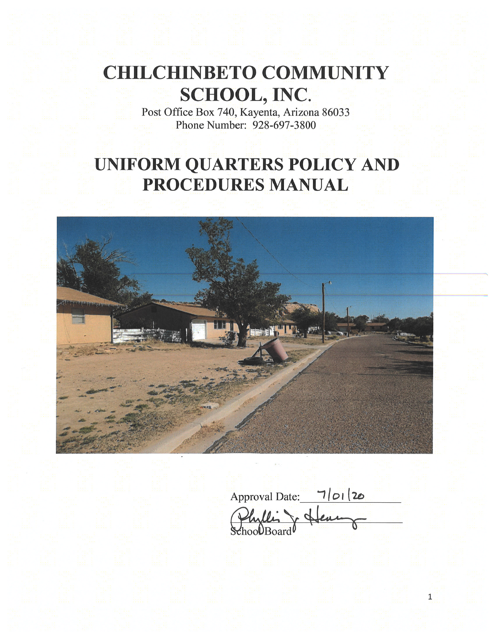# **CHILCHINBETO COMMUNITY SCHOOL, INC.**

Post Office Box 740, Kayenta, Arizona 86033<br>Phone Number: 928-697-3800

# **UNIFORM QUARTERS POLICY AND** PROCEDURES MANUAL



Approval Date: 7/01/20 SchoolBoard

 $\overline{1}$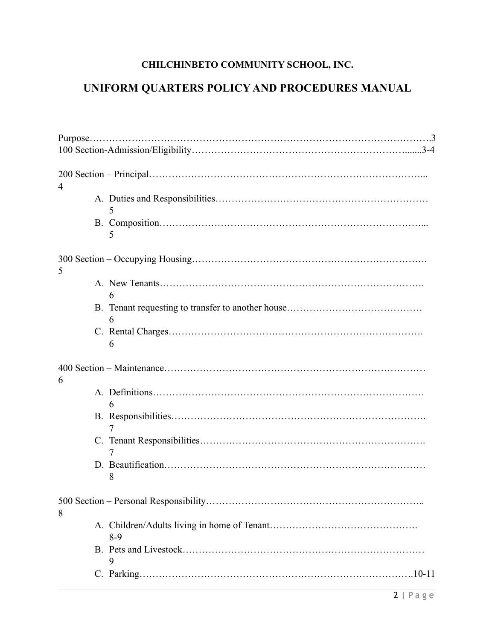## **CHILCHINBETO COMMUNITY SCHOOL, INC.**

## **UNIFORM QUARTERS POLICY AND PROCEDURES MANUAL**

| 4     |
|-------|
| 5     |
| 5     |
| 5     |
| 6     |
| 6     |
| 6     |
| 6     |
| 6     |
| 7     |
| 7     |
| 8     |
| 8     |
| $8-9$ |
| 9     |
|       |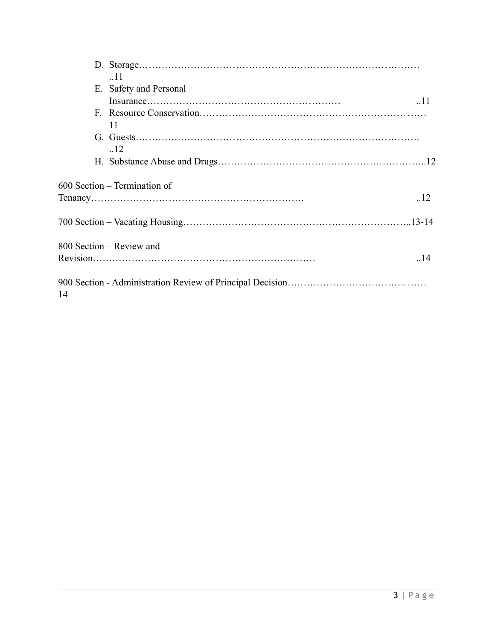|    | .11<br>E. Safety and Personal |     |
|----|-------------------------------|-----|
|    |                               | .11 |
|    |                               |     |
|    | 11                            |     |
|    |                               |     |
|    | .12                           |     |
|    |                               |     |
|    |                               |     |
|    | 600 Section – Termination of  |     |
|    |                               | .12 |
|    |                               |     |
|    | 800 Section – Review and      |     |
|    |                               | .14 |
| 14 |                               |     |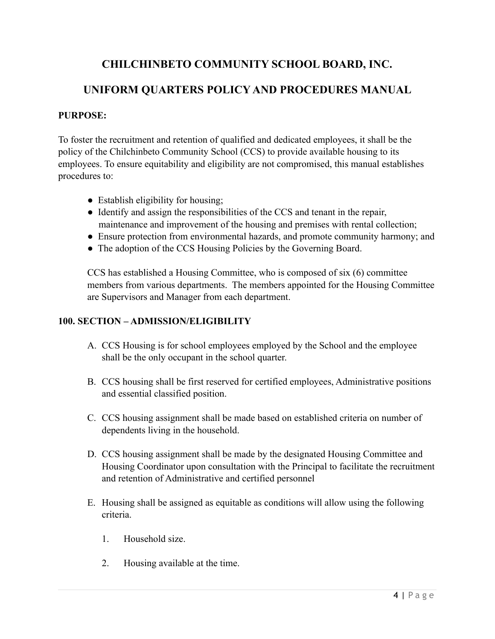### **CHILCHINBETO COMMUNITY SCHOOL BOARD, INC.**

### **UNIFORM QUARTERS POLICY AND PROCEDURES MANUAL**

#### **PURPOSE:**

To foster the recruitment and retention of qualified and dedicated employees, it shall be the policy of the Chilchinbeto Community School (CCS) to provide available housing to its employees. To ensure equitability and eligibility are not compromised, this manual establishes procedures to:

- Establish eligibility for housing;
- Identify and assign the responsibilities of the CCS and tenant in the repair, maintenance and improvement of the housing and premises with rental collection;
- Ensure protection from environmental hazards, and promote community harmony; and
- The adoption of the CCS Housing Policies by the Governing Board.

CCS has established a Housing Committee, who is composed of six (6) committee members from various departments. The members appointed for the Housing Committee are Supervisors and Manager from each department.

#### **100. SECTION – ADMISSION/ELIGIBILITY**

- A. CCS Housing is for school employees employed by the School and the employee shall be the only occupant in the school quarter.
- B. CCS housing shall be first reserved for certified employees, Administrative positions and essential classified position.
- C. CCS housing assignment shall be made based on established criteria on number of dependents living in the household.
- D. CCS housing assignment shall be made by the designated Housing Committee and Housing Coordinator upon consultation with the Principal to facilitate the recruitment and retention of Administrative and certified personnel
- E. Housing shall be assigned as equitable as conditions will allow using the following criteria.
	- 1. Household size.
	- 2. Housing available at the time.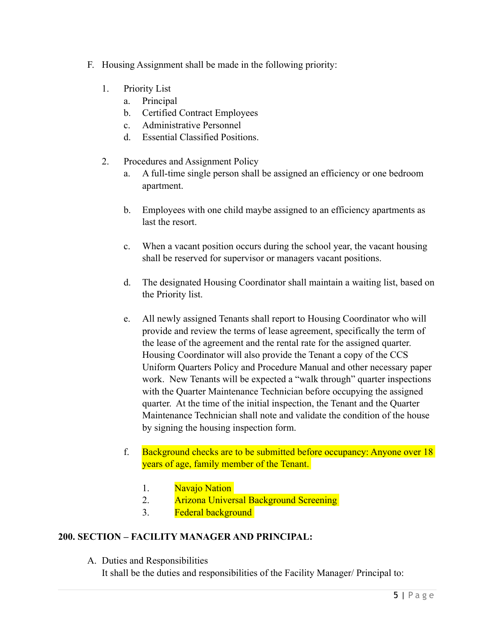- F. Housing Assignment shall be made in the following priority:
	- 1. Priority List
		- a. Principal
		- b. Certified Contract Employees
		- c. Administrative Personnel
		- d. Essential Classified Positions.
	- 2. Procedures and Assignment Policy
		- a. A full-time single person shall be assigned an efficiency or one bedroom apartment.
		- b. Employees with one child maybe assigned to an efficiency apartments as last the resort.
		- c. When a vacant position occurs during the school year, the vacant housing shall be reserved for supervisor or managers vacant positions.
		- d. The designated Housing Coordinator shall maintain a waiting list, based on the Priority list.
		- e. All newly assigned Tenants shall report to Housing Coordinator who will provide and review the terms of lease agreement, specifically the term of the lease of the agreement and the rental rate for the assigned quarter. Housing Coordinator will also provide the Tenant a copy of the CCS Uniform Quarters Policy and Procedure Manual and other necessary paper work. New Tenants will be expected a "walk through" quarter inspections with the Quarter Maintenance Technician before occupying the assigned quarter. At the time of the initial inspection, the Tenant and the Quarter Maintenance Technician shall note and validate the condition of the house by signing the housing inspection form.
		- f. Background checks are to be submitted before occupancy: Anyone over 18 years of age, family member of the Tenant.
			- 1. Navajo Nation
			- 2. Arizona Universal Background Screening
			- 3. Federal background

#### **200. SECTION – FACILITY MANAGER AND PRINCIPAL:**

A. Duties and Responsibilities

It shall be the duties and responsibilities of the Facility Manager/ Principal to: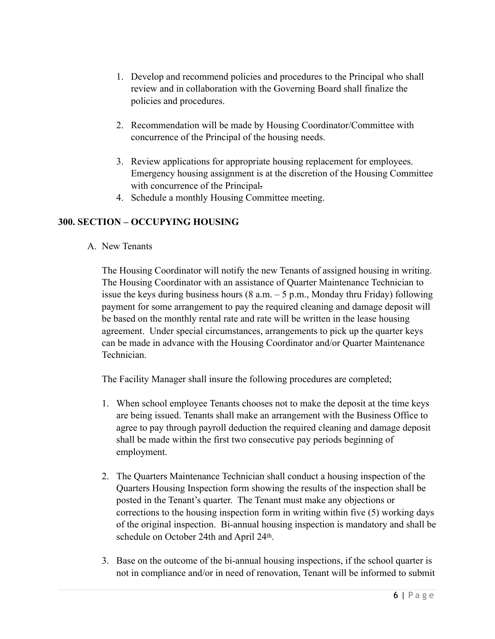- 1. Develop and recommend policies and procedures to the Principal who shall review and in collaboration with the Governing Board shall finalize the policies and procedures.
- 2. Recommendation will be made by Housing Coordinator/Committee with concurrence of the Principal of the housing needs.
- 3. Review applications for appropriate housing replacement for employees. Emergency housing assignment is at the discretion of the Housing Committee with concurrence of the Principal.
- 4. Schedule a monthly Housing Committee meeting.

#### **300. SECTION – OCCUPYING HOUSING**

A. New Tenants

The Housing Coordinator will notify the new Tenants of assigned housing in writing. The Housing Coordinator with an assistance of Quarter Maintenance Technician to issue the keys during business hours  $(8 \text{ a.m.} - 5 \text{ p.m.})$ , Monday thru Friday) following payment for some arrangement to pay the required cleaning and damage deposit will be based on the monthly rental rate and rate will be written in the lease housing agreement. Under special circumstances, arrangements to pick up the quarter keys can be made in advance with the Housing Coordinator and/or Quarter Maintenance Technician.

The Facility Manager shall insure the following procedures are completed;

- 1. When school employee Tenants chooses not to make the deposit at the time keys are being issued. Tenants shall make an arrangement with the Business Office to agree to pay through payroll deduction the required cleaning and damage deposit shall be made within the first two consecutive pay periods beginning of employment.
- 2. The Quarters Maintenance Technician shall conduct a housing inspection of the Quarters Housing Inspection form showing the results of the inspection shall be posted in the Tenant's quarter. The Tenant must make any objections or corrections to the housing inspection form in writing within five (5) working days of the original inspection. Bi-annual housing inspection is mandatory and shall be schedule on October 24th and April 24th.
- 3. Base on the outcome of the bi-annual housing inspections, if the school quarter is not in compliance and/or in need of renovation, Tenant will be informed to submit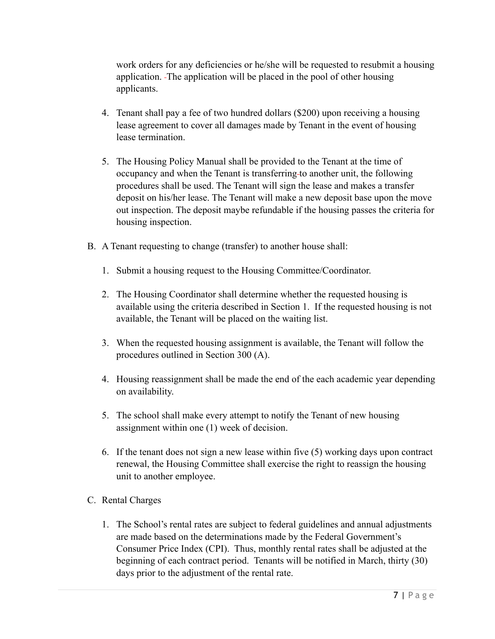work orders for any deficiencies or he/she will be requested to resubmit a housing application. The application will be placed in the pool of other housing applicants.

- 4. Tenant shall pay a fee of two hundred dollars (\$200) upon receiving a housing lease agreement to cover all damages made by Tenant in the event of housing lease termination.
- 5. The Housing Policy Manual shall be provided to the Tenant at the time of occupancy and when the Tenant is transferring to another unit, the following procedures shall be used. The Tenant will sign the lease and makes a transfer deposit on his/her lease. The Tenant will make a new deposit base upon the move out inspection. The deposit maybe refundable if the housing passes the criteria for housing inspection.
- B. A Tenant requesting to change (transfer) to another house shall:
	- 1. Submit a housing request to the Housing Committee/Coordinator.
	- 2. The Housing Coordinator shall determine whether the requested housing is available using the criteria described in Section 1. If the requested housing is not available, the Tenant will be placed on the waiting list.
	- 3. When the requested housing assignment is available, the Tenant will follow the procedures outlined in Section 300 (A).
	- 4. Housing reassignment shall be made the end of the each academic year depending on availability.
	- 5. The school shall make every attempt to notify the Tenant of new housing assignment within one (1) week of decision.
	- 6. If the tenant does not sign a new lease within five (5) working days upon contract renewal, the Housing Committee shall exercise the right to reassign the housing unit to another employee.
- C. Rental Charges
	- 1. The School's rental rates are subject to federal guidelines and annual adjustments are made based on the determinations made by the Federal Government's Consumer Price Index (CPI). Thus, monthly rental rates shall be adjusted at the beginning of each contract period. Tenants will be notified in March, thirty (30) days prior to the adjustment of the rental rate.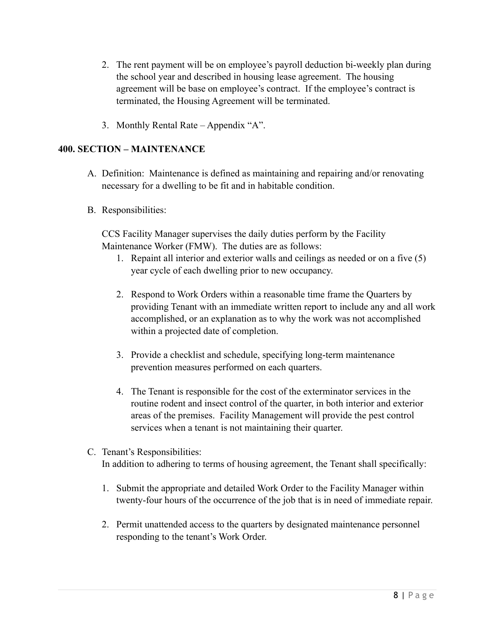- 2. The rent payment will be on employee's payroll deduction bi-weekly plan during the school year and described in housing lease agreement. The housing agreement will be base on employee's contract. If the employee's contract is terminated, the Housing Agreement will be terminated.
- 3. Monthly Rental Rate Appendix "A".

#### **400. SECTION – MAINTENANCE**

- A. Definition: Maintenance is defined as maintaining and repairing and/or renovating necessary for a dwelling to be fit and in habitable condition.
- B. Responsibilities:

CCS Facility Manager supervises the daily duties perform by the Facility Maintenance Worker (FMW). The duties are as follows:

- 1. Repaint all interior and exterior walls and ceilings as needed or on a five (5) year cycle of each dwelling prior to new occupancy.
- 2. Respond to Work Orders within a reasonable time frame the Quarters by providing Tenant with an immediate written report to include any and all work accomplished, or an explanation as to why the work was not accomplished within a projected date of completion.
- 3. Provide a checklist and schedule, specifying long-term maintenance prevention measures performed on each quarters.
- 4. The Tenant is responsible for the cost of the exterminator services in the routine rodent and insect control of the quarter, in both interior and exterior areas of the premises. Facility Management will provide the pest control services when a tenant is not maintaining their quarter.
- C. Tenant's Responsibilities: In addition to adhering to terms of housing agreement, the Tenant shall specifically:
	- 1. Submit the appropriate and detailed Work Order to the Facility Manager within twenty-four hours of the occurrence of the job that is in need of immediate repair.
	- 2. Permit unattended access to the quarters by designated maintenance personnel responding to the tenant's Work Order.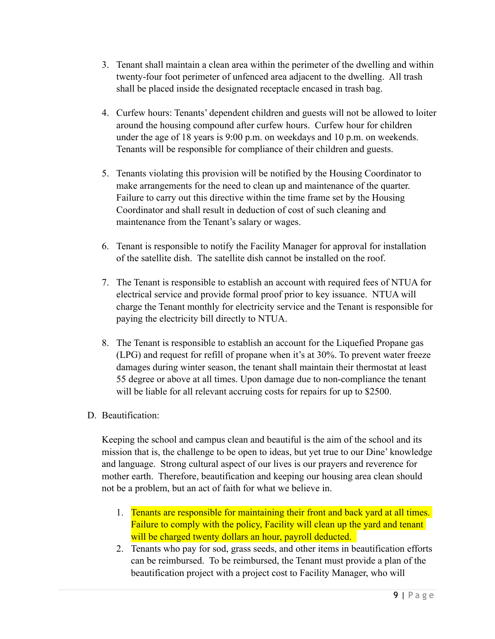- 3. Tenant shall maintain a clean area within the perimeter of the dwelling and within twenty-four foot perimeter of unfenced area adjacent to the dwelling. All trash shall be placed inside the designated receptacle encased in trash bag.
- 4. Curfew hours: Tenants' dependent children and guests will not be allowed to loiter around the housing compound after curfew hours. Curfew hour for children under the age of 18 years is 9:00 p.m. on weekdays and 10 p.m. on weekends. Tenants will be responsible for compliance of their children and guests.
- 5. Tenants violating this provision will be notified by the Housing Coordinator to make arrangements for the need to clean up and maintenance of the quarter. Failure to carry out this directive within the time frame set by the Housing Coordinator and shall result in deduction of cost of such cleaning and maintenance from the Tenant's salary or wages.
- 6. Tenant is responsible to notify the Facility Manager for approval for installation of the satellite dish. The satellite dish cannot be installed on the roof.
- 7. The Tenant is responsible to establish an account with required fees of NTUA for electrical service and provide formal proof prior to key issuance. NTUA will charge the Tenant monthly for electricity service and the Tenant is responsible for paying the electricity bill directly to NTUA.
- 8. The Tenant is responsible to establish an account for the Liquefied Propane gas (LPG) and request for refill of propane when it's at 30%. To prevent water freeze damages during winter season, the tenant shall maintain their thermostat at least 55 degree or above at all times. Upon damage due to non-compliance the tenant will be liable for all relevant accruing costs for repairs for up to \$2500.
- D. Beautification:

Keeping the school and campus clean and beautiful is the aim of the school and its mission that is, the challenge to be open to ideas, but yet true to our Dine' knowledge and language. Strong cultural aspect of our lives is our prayers and reverence for mother earth. Therefore, beautification and keeping our housing area clean should not be a problem, but an act of faith for what we believe in.

- 1. Tenants are responsible for maintaining their front and back yard at all times. Failure to comply with the policy, Facility will clean up the yard and tenant will be charged twenty dollars an hour, payroll deducted.
- 2. Tenants who pay for sod, grass seeds, and other items in beautification efforts can be reimbursed. To be reimbursed, the Tenant must provide a plan of the beautification project with a project cost to Facility Manager, who will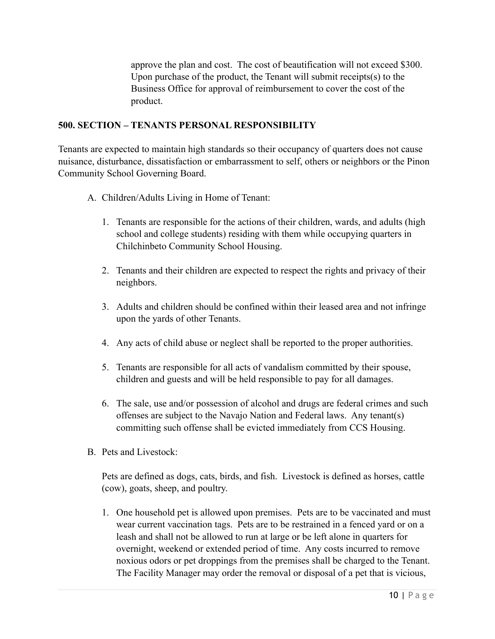approve the plan and cost. The cost of beautification will not exceed \$300. Upon purchase of the product, the Tenant will submit receipts(s) to the Business Office for approval of reimbursement to cover the cost of the product.

#### **500. SECTION – TENANTS PERSONAL RESPONSIBILITY**

Tenants are expected to maintain high standards so their occupancy of quarters does not cause nuisance, disturbance, dissatisfaction or embarrassment to self, others or neighbors or the Pinon Community School Governing Board.

- A. Children/Adults Living in Home of Tenant:
	- 1. Tenants are responsible for the actions of their children, wards, and adults (high school and college students) residing with them while occupying quarters in Chilchinbeto Community School Housing.
	- 2. Tenants and their children are expected to respect the rights and privacy of their neighbors.
	- 3. Adults and children should be confined within their leased area and not infringe upon the yards of other Tenants.
	- 4. Any acts of child abuse or neglect shall be reported to the proper authorities.
	- 5. Tenants are responsible for all acts of vandalism committed by their spouse, children and guests and will be held responsible to pay for all damages.
	- 6. The sale, use and/or possession of alcohol and drugs are federal crimes and such offenses are subject to the Navajo Nation and Federal laws. Any tenant(s) committing such offense shall be evicted immediately from CCS Housing.
- B. Pets and Livestock:

Pets are defined as dogs, cats, birds, and fish. Livestock is defined as horses, cattle (cow), goats, sheep, and poultry.

1. One household pet is allowed upon premises. Pets are to be vaccinated and must wear current vaccination tags. Pets are to be restrained in a fenced yard or on a leash and shall not be allowed to run at large or be left alone in quarters for overnight, weekend or extended period of time. Any costs incurred to remove noxious odors or pet droppings from the premises shall be charged to the Tenant. The Facility Manager may order the removal or disposal of a pet that is vicious,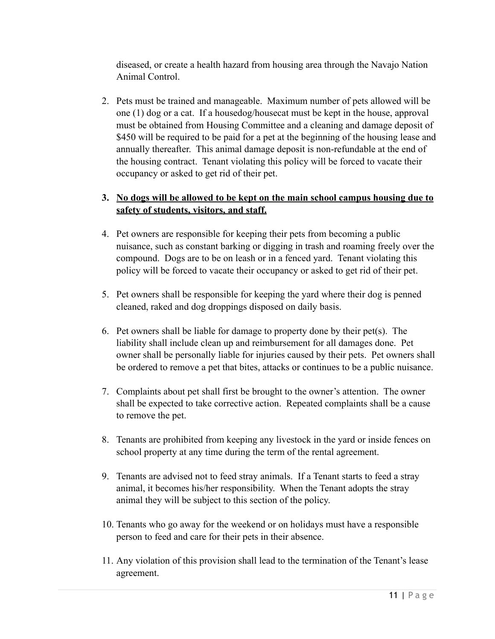diseased, or create a health hazard from housing area through the Navajo Nation Animal Control.

2. Pets must be trained and manageable. Maximum number of pets allowed will be one (1) dog or a cat. If a housedog/housecat must be kept in the house, approval must be obtained from Housing Committee and a cleaning and damage deposit of \$450 will be required to be paid for a pet at the beginning of the housing lease and annually thereafter. This animal damage deposit is non-refundable at the end of the housing contract. Tenant violating this policy will be forced to vacate their occupancy or asked to get rid of their pet.

#### **3. No dogs will be allowed to be kept on the main school campus housing due to safety of students, visitors, and staff.**

- 4. Pet owners are responsible for keeping their pets from becoming a public nuisance, such as constant barking or digging in trash and roaming freely over the compound. Dogs are to be on leash or in a fenced yard. Tenant violating this policy will be forced to vacate their occupancy or asked to get rid of their pet.
- 5. Pet owners shall be responsible for keeping the yard where their dog is penned cleaned, raked and dog droppings disposed on daily basis.
- 6. Pet owners shall be liable for damage to property done by their pet(s). The liability shall include clean up and reimbursement for all damages done. Pet owner shall be personally liable for injuries caused by their pets. Pet owners shall be ordered to remove a pet that bites, attacks or continues to be a public nuisance.
- 7. Complaints about pet shall first be brought to the owner's attention. The owner shall be expected to take corrective action. Repeated complaints shall be a cause to remove the pet.
- 8. Tenants are prohibited from keeping any livestock in the yard or inside fences on school property at any time during the term of the rental agreement.
- 9. Tenants are advised not to feed stray animals. If a Tenant starts to feed a stray animal, it becomes his/her responsibility. When the Tenant adopts the stray animal they will be subject to this section of the policy.
- 10. Tenants who go away for the weekend or on holidays must have a responsible person to feed and care for their pets in their absence.
- 11. Any violation of this provision shall lead to the termination of the Tenant's lease agreement.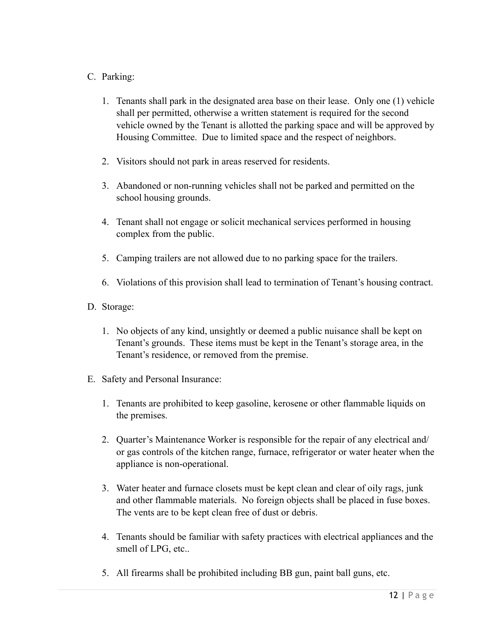#### C. Parking:

- 1. Tenants shall park in the designated area base on their lease. Only one (1) vehicle shall per permitted, otherwise a written statement is required for the second vehicle owned by the Tenant is allotted the parking space and will be approved by Housing Committee. Due to limited space and the respect of neighbors.
- 2. Visitors should not park in areas reserved for residents.
- 3. Abandoned or non-running vehicles shall not be parked and permitted on the school housing grounds.
- 4. Tenant shall not engage or solicit mechanical services performed in housing complex from the public.
- 5. Camping trailers are not allowed due to no parking space for the trailers.
- 6. Violations of this provision shall lead to termination of Tenant's housing contract.
- D. Storage:
	- 1. No objects of any kind, unsightly or deemed a public nuisance shall be kept on Tenant's grounds. These items must be kept in the Tenant's storage area, in the Tenant's residence, or removed from the premise.
- E. Safety and Personal Insurance:
	- 1. Tenants are prohibited to keep gasoline, kerosene or other flammable liquids on the premises.
	- 2. Quarter's Maintenance Worker is responsible for the repair of any electrical and/ or gas controls of the kitchen range, furnace, refrigerator or water heater when the appliance is non-operational.
	- 3. Water heater and furnace closets must be kept clean and clear of oily rags, junk and other flammable materials. No foreign objects shall be placed in fuse boxes. The vents are to be kept clean free of dust or debris.
	- 4. Tenants should be familiar with safety practices with electrical appliances and the smell of LPG, etc..
	- 5. All firearms shall be prohibited including BB gun, paint ball guns, etc.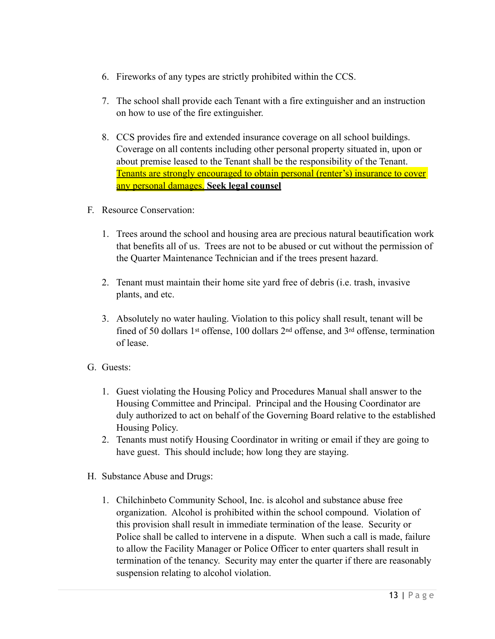- 6. Fireworks of any types are strictly prohibited within the CCS.
- 7. The school shall provide each Tenant with a fire extinguisher and an instruction on how to use of the fire extinguisher.
- 8. CCS provides fire and extended insurance coverage on all school buildings. Coverage on all contents including other personal property situated in, upon or about premise leased to the Tenant shall be the responsibility of the Tenant. Tenants are strongly encouraged to obtain personal (renter's) insurance to cover any personal damages. **Seek legal counsel**
- F. Resource Conservation:
	- 1. Trees around the school and housing area are precious natural beautification work that benefits all of us. Trees are not to be abused or cut without the permission of the Quarter Maintenance Technician and if the trees present hazard.
	- 2. Tenant must maintain their home site yard free of debris (i.e. trash, invasive plants, and etc.
	- 3. Absolutely no water hauling. Violation to this policy shall result, tenant will be fined of 50 dollars 1st offense, 100 dollars 2nd offense, and 3rd offense, termination of lease.
- G. Guests:
	- 1. Guest violating the Housing Policy and Procedures Manual shall answer to the Housing Committee and Principal. Principal and the Housing Coordinator are duly authorized to act on behalf of the Governing Board relative to the established Housing Policy.
	- 2. Tenants must notify Housing Coordinator in writing or email if they are going to have guest. This should include; how long they are staying.
- H. Substance Abuse and Drugs:
	- 1. Chilchinbeto Community School, Inc. is alcohol and substance abuse free organization. Alcohol is prohibited within the school compound. Violation of this provision shall result in immediate termination of the lease. Security or Police shall be called to intervene in a dispute. When such a call is made, failure to allow the Facility Manager or Police Officer to enter quarters shall result in termination of the tenancy. Security may enter the quarter if there are reasonably suspension relating to alcohol violation.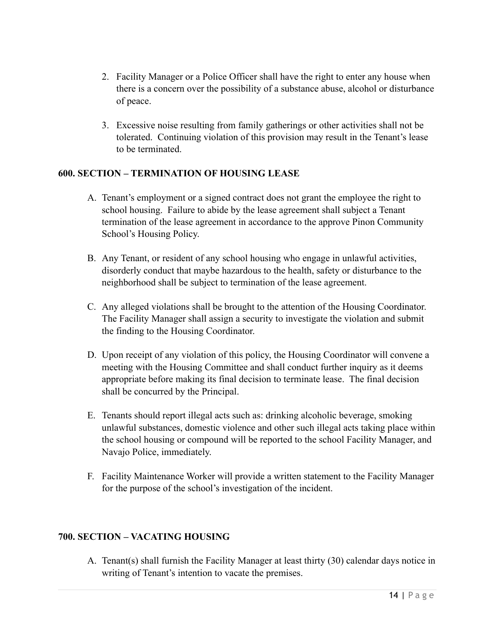- 2. Facility Manager or a Police Officer shall have the right to enter any house when there is a concern over the possibility of a substance abuse, alcohol or disturbance of peace.
- 3. Excessive noise resulting from family gatherings or other activities shall not be tolerated. Continuing violation of this provision may result in the Tenant's lease to be terminated.

#### **600. SECTION – TERMINATION OF HOUSING LEASE**

- A. Tenant's employment or a signed contract does not grant the employee the right to school housing. Failure to abide by the lease agreement shall subject a Tenant termination of the lease agreement in accordance to the approve Pinon Community School's Housing Policy.
- B. Any Tenant, or resident of any school housing who engage in unlawful activities, disorderly conduct that maybe hazardous to the health, safety or disturbance to the neighborhood shall be subject to termination of the lease agreement.
- C. Any alleged violations shall be brought to the attention of the Housing Coordinator. The Facility Manager shall assign a security to investigate the violation and submit the finding to the Housing Coordinator.
- D. Upon receipt of any violation of this policy, the Housing Coordinator will convene a meeting with the Housing Committee and shall conduct further inquiry as it deems appropriate before making its final decision to terminate lease. The final decision shall be concurred by the Principal.
- E. Tenants should report illegal acts such as: drinking alcoholic beverage, smoking unlawful substances, domestic violence and other such illegal acts taking place within the school housing or compound will be reported to the school Facility Manager, and Navajo Police, immediately.
- F. Facility Maintenance Worker will provide a written statement to the Facility Manager for the purpose of the school's investigation of the incident.

#### **700. SECTION – VACATING HOUSING**

A. Tenant(s) shall furnish the Facility Manager at least thirty (30) calendar days notice in writing of Tenant's intention to vacate the premises.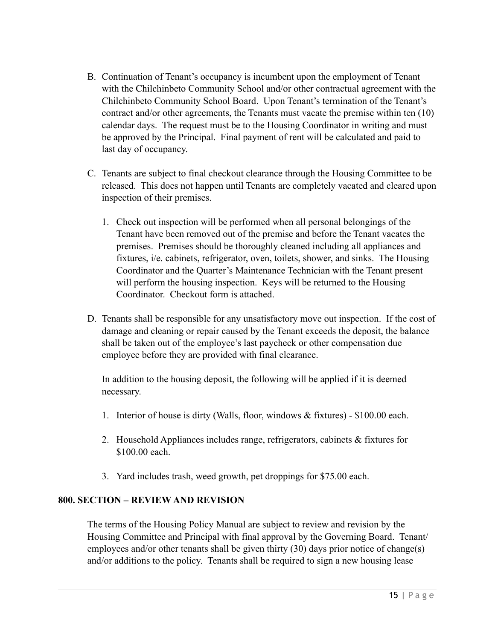- B. Continuation of Tenant's occupancy is incumbent upon the employment of Tenant with the Chilchinbeto Community School and/or other contractual agreement with the Chilchinbeto Community School Board. Upon Tenant's termination of the Tenant's contract and/or other agreements, the Tenants must vacate the premise within ten (10) calendar days. The request must be to the Housing Coordinator in writing and must be approved by the Principal. Final payment of rent will be calculated and paid to last day of occupancy.
- C. Tenants are subject to final checkout clearance through the Housing Committee to be released. This does not happen until Tenants are completely vacated and cleared upon inspection of their premises.
	- 1. Check out inspection will be performed when all personal belongings of the Tenant have been removed out of the premise and before the Tenant vacates the premises. Premises should be thoroughly cleaned including all appliances and fixtures, i/e. cabinets, refrigerator, oven, toilets, shower, and sinks. The Housing Coordinator and the Quarter's Maintenance Technician with the Tenant present will perform the housing inspection. Keys will be returned to the Housing Coordinator. Checkout form is attached.
- D. Tenants shall be responsible for any unsatisfactory move out inspection. If the cost of damage and cleaning or repair caused by the Tenant exceeds the deposit, the balance shall be taken out of the employee's last paycheck or other compensation due employee before they are provided with final clearance.

In addition to the housing deposit, the following will be applied if it is deemed necessary.

- 1. Interior of house is dirty (Walls, floor, windows & fixtures) \$100.00 each.
- 2. Household Appliances includes range, refrigerators, cabinets & fixtures for \$100.00 each.
- 3. Yard includes trash, weed growth, pet droppings for \$75.00 each.

#### **800. SECTION – REVIEW AND REVISION**

The terms of the Housing Policy Manual are subject to review and revision by the Housing Committee and Principal with final approval by the Governing Board. Tenant/ employees and/or other tenants shall be given thirty (30) days prior notice of change(s) and/or additions to the policy. Tenants shall be required to sign a new housing lease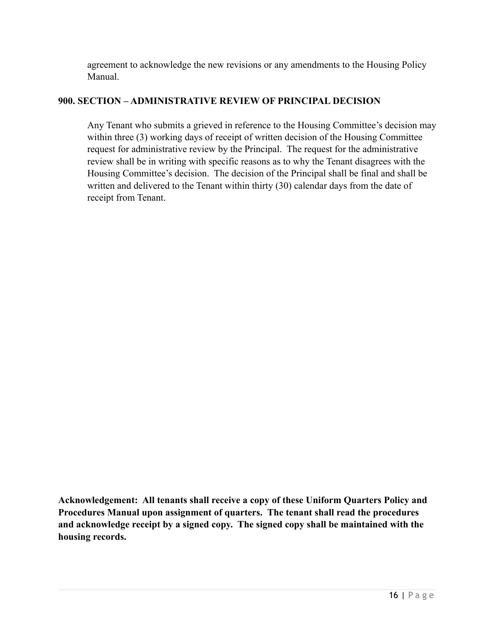agreement to acknowledge the new revisions or any amendments to the Housing Policy Manual.

#### **900. SECTION – ADMINISTRATIVE REVIEW OF PRINCIPAL DECISION**

Any Tenant who submits a grieved in reference to the Housing Committee's decision may within three (3) working days of receipt of written decision of the Housing Committee request for administrative review by the Principal. The request for the administrative review shall be in writing with specific reasons as to why the Tenant disagrees with the Housing Committee's decision. The decision of the Principal shall be final and shall be written and delivered to the Tenant within thirty (30) calendar days from the date of receipt from Tenant.

**Acknowledgement: All tenants shall receive a copy of these Uniform Quarters Policy and Procedures Manual upon assignment of quarters. The tenant shall read the procedures and acknowledge receipt by a signed copy. The signed copy shall be maintained with the housing records.**